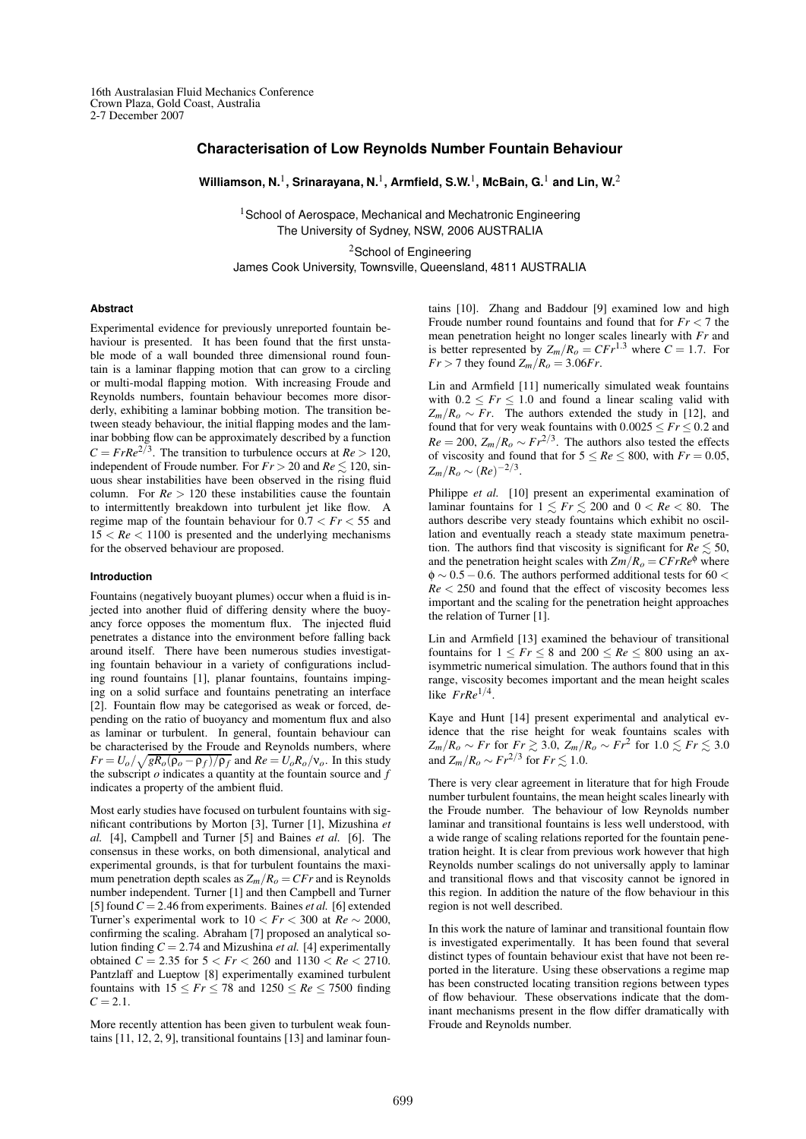# **Characterisation of Low Reynolds Number Fountain Behaviour**

**Williamson, N.**<sup>1</sup> **, Srinarayana, N.**<sup>1</sup> **, Armfield, S.W.** 1 **, McBain, G.**<sup>1</sup> **and Lin, W.** 2

<sup>1</sup> School of Aerospace, Mechanical and Mechatronic Engineering The University of Sydney, NSW, 2006 AUSTRALIA

<sup>2</sup>School of Engineering James Cook University, Townsville, Queensland, 4811 AUSTRALIA

### **Abstract**

Experimental evidence for previously unreported fountain behaviour is presented. It has been found that the first unstable mode of a wall bounded three dimensional round fountain is a laminar flapping motion that can grow to a circling or multi-modal flapping motion. With increasing Froude and Reynolds numbers, fountain behaviour becomes more disorderly, exhibiting a laminar bobbing motion. The transition between steady behaviour, the initial flapping modes and the laminar bobbing flow can be approximately described by a function  $C = Fr Re<sup>2/3</sup>$ . The transition to turbulence occurs at  $Re > 120$ , independent of Froude number. For  $Fr > 20$  and  $Re \le 120$ , sinuous shear instabilities have been observed in the rising fluid column. For  $Re > 120$  these instabilities cause the fountain to intermittently breakdown into turbulent jet like flow. A regime map of the fountain behaviour for  $0.7 < Fr < 55$  and  $15 < Re < 1100$  is presented and the underlying mechanisms for the observed behaviour are proposed.

#### **Introduction**

Fountains (negatively buoyant plumes) occur when a fluid is injected into another fluid of differing density where the buoyancy force opposes the momentum flux. The injected fluid penetrates a distance into the environment before falling back around itself. There have been numerous studies investigating fountain behaviour in a variety of configurations including round fountains [1], planar fountains, fountains impinging on a solid surface and fountains penetrating an interface [2]. Fountain flow may be categorised as weak or forced, depending on the ratio of buoyancy and momentum flux and also as laminar or turbulent. In general, fountain behaviour can be characterised by the Froude and Reynolds numbers, where  $Fr = U_o / \sqrt{gR_o(\rho_o - \rho_f)/\rho_f}$  and  $Re = U_oR_o/v_o$ . In this study the subscript *o* indicates a quantity at the fountain source and *f* indicates a property of the ambient fluid.

Most early studies have focused on turbulent fountains with significant contributions by Morton [3], Turner [1], Mizushina *et al.* [4], Campbell and Turner [5] and Baines *et al.* [6]. The consensus in these works, on both dimensional, analytical and experimental grounds, is that for turbulent fountains the maximum penetration depth scales as  $Z_m/R_o = CFr$  and is Reynolds number independent. Turner [1] and then Campbell and Turner [5] found*C* = 2.46 from experiments. Baines *et al.* [6] extended Turner's experimental work to  $10 < Fr < 300$  at  $Re \sim 2000$ , confirming the scaling. Abraham [7] proposed an analytical solution finding  $C = 2.74$  and Mizushina *et al.* [4] experimentally obtained *C* = 2.35 for  $5 < Fr < 260$  and  $1130 < Re < 2710$ . Pantzlaff and Lueptow [8] experimentally examined turbulent fountains with  $15 \leq Fr \leq 78$  and  $1250 \leq Re \leq 7500$  finding  $C = 2.1$ .

More recently attention has been given to turbulent weak fountains [11, 12, 2, 9], transitional fountains [13] and laminar fountains [10]. Zhang and Baddour [9] examined low and high Froude number round fountains and found that for *Fr* < 7 the mean penetration height no longer scales linearly with *Fr* and is better represented by  $Z_m/R_o = CFr^{1.3}$  where  $C = 1.7$ . For  $Fr > 7$  they found  $Z_m/R_o = 3.06 Fr$ .

Lin and Armfield [11] numerically simulated weak fountains with  $0.2 \leq Fr \leq 1.0$  and found a linear scaling valid with  $Z_m/R_o \sim Fr$ . The authors extended the study in [12], and found that for very weak fountains with  $0.0025 \leq Fr \leq 0.2$  and  $Re = 200$ ,  $Z_m/R_o \sim Fr^{2/3}$ . The authors also tested the effects of viscosity and found that for  $5 \leq Re \leq 800$ , with  $Fr = 0.05$ ,  $Z_m/R_o \sim (Re)^{-2/3}.$ 

Philippe *et al.* [10] present an experimental examination of laminar fountains for  $1 \leq Fr \leq 200$  and  $0 < Re < 80$ . The authors describe very steady fountains which exhibit no oscillation and eventually reach a steady state maximum penetration. The authors find that viscosity is significant for  $Re \lesssim 50$ , and the penetration height scales with  $Zm/R<sub>o</sub> = CFrRe<sup>\phi</sup>$  where  $\phi \sim 0.5 - 0.6$ . The authors performed additional tests for 60 < *Re* < 250 and found that the effect of viscosity becomes less important and the scaling for the penetration height approaches the relation of Turner [1].

Lin and Armfield [13] examined the behaviour of transitional fountains for  $1 \leq Fr \leq 8$  and  $200 \leq Re \leq 800$  using an axisymmetric numerical simulation. The authors found that in this range, viscosity becomes important and the mean height scales like *FrRe*1/<sup>4</sup> .

Kaye and Hunt [14] present experimental and analytical evidence that the rise height for weak fountains scales with *Z*<sub>*m*</sub>/*R*<sub>*o*</sub> ∼ *Fr* for *Fr*  $\gtrsim$  3.0, *Z<sub>m</sub>*/*R*<sub>*o*</sub> ∼ *Fr*<sup>2</sup> for 1.0  $\lesssim$  *Fr*  $\lesssim$  3.0 and  $Z_m/R_o \sim Fr^{2/3}$  for  $Fr \lesssim 1.0$ .

There is very clear agreement in literature that for high Froude number turbulent fountains, the mean height scales linearly with the Froude number. The behaviour of low Reynolds number laminar and transitional fountains is less well understood, with a wide range of scaling relations reported for the fountain penetration height. It is clear from previous work however that high Reynolds number scalings do not universally apply to laminar and transitional flows and that viscosity cannot be ignored in this region. In addition the nature of the flow behaviour in this region is not well described.

In this work the nature of laminar and transitional fountain flow is investigated experimentally. It has been found that several distinct types of fountain behaviour exist that have not been reported in the literature. Using these observations a regime map has been constructed locating transition regions between types of flow behaviour. These observations indicate that the dominant mechanisms present in the flow differ dramatically with Froude and Reynolds number.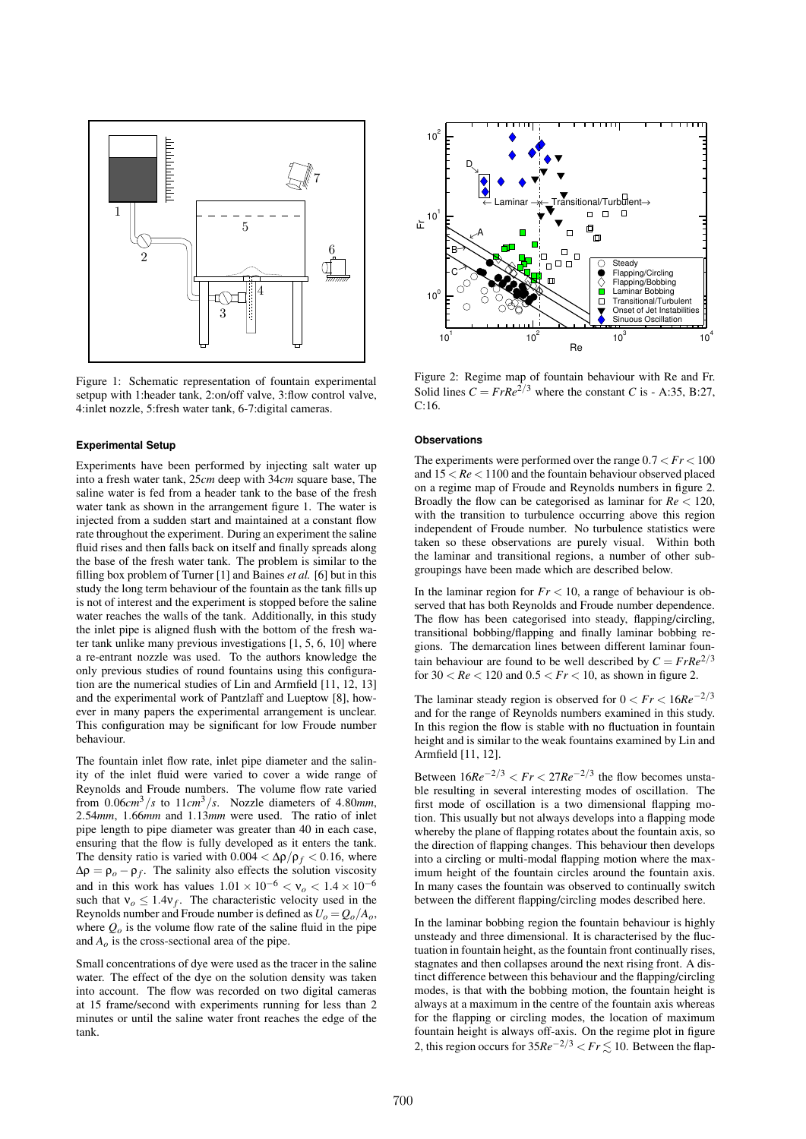

Figure 1: Schematic representation of fountain experimental setpup with 1:header tank, 2:on/off valve, 3:flow control valve, 4:inlet nozzle, 5:fresh water tank, 6-7:digital cameras.

## **Experimental Setup**

a re-entrain hozzle was used. To the additions knowledge the<br>only previous studies of round fountains using this configura-Experiments have been performed by injecting salt water up into a fresh water tank, 25*cm* deep with 34*cm* square base, The saline water is fed from a header tank to the base of the fresh water tank as shown in the arrangement figure 1. The water is injected from a sudden start and maintained at a constant flow rate throughout the experiment. During an experiment the saline fluid rises and then falls back on itself and finally spreads along the base of the fresh water tank. The problem is similar to the filling box problem of Turner [1] and Baines *et al.* [6] but in this study the long term behaviour of the fountain as the tank fills up is not of interest and the experiment is stopped before the saline water reaches the walls of the tank. Additionally, in this study the inlet pipe is aligned flush with the bottom of the fresh water tank unlike many previous investigations [1, 5, 6, 10] where a re-entrant nozzle was used. To the authors knowledge the tion are the numerical studies of Lin and Armfield [11, 12, 13] and the experimental work of Pantzlaff and Lueptow [8], however in many papers the experimental arrangement is unclear. This configuration may be significant for low Froude number behaviour.

The fountain inlet flow rate, inlet pipe diameter and the salinity of the inlet fluid were varied to cover a wide range of Reynolds and Froude numbers. The volume flow rate varied from  $0.06cm^3/s$  to  $11cm^3/s$ . Nozzle diameters of 4.80*mm*, 2.54*mm*, 1.66*mm* and 1.13*mm* were used. The ratio of inlet pipe length to pipe diameter was greater than 40 in each case, ensuring that the flow is fully developed as it enters the tank. The density ratio is varied with  $0.004 < \Delta \rho / \rho_f < 0.16$ , where  $\Delta \rho = \rho_o - \rho_f$ . The salinity also effects the solution viscosity and in this work has values  $1.01 \times 10^{-6} < v_0 < 1.4 \times 10^{-6}$ such that  $v_o \leq 1.4v_f$ . The characteristic velocity used in the Reynolds number and Froude number is defined as  $U_o = Q_o/A_o$ , where  $Q<sub>o</sub>$  is the volume flow rate of the saline fluid in the pipe and  $A<sub>o</sub>$  is the cross-sectional area of the pipe.

Small concentrations of dye were used as the tracer in the saline water. The effect of the dye on the solution density was taken into account. The flow was recorded on two digital cameras at 15 frame/second with experiments running for less than 2 minutes or until the saline water front reaches the edge of the tank.



Figure 2: Regime map of fountain behaviour with Re and Fr. Solid lines  $C = Fr Re^{2/3}$  where the constant *C* is - A:35, B:27, C:16.

# **Observations**

The experiments were performed over the range  $0.7 < Fr < 100$ and 15 < *Re* < 1100 and the fountain behaviour observed placed on a regime map of Froude and Reynolds numbers in figure 2. Broadly the flow can be categorised as laminar for *Re* < 120, with the transition to turbulence occurring above this region independent of Froude number. No turbulence statistics were taken so these observations are purely visual. Within both the laminar and transitional regions, a number of other subgroupings have been made which are described below.

In the laminar region for  $Fr < 10$ , a range of behaviour is observed that has both Reynolds and Froude number dependence. The flow has been categorised into steady, flapping/circling, transitional bobbing/flapping and finally laminar bobbing regions. The demarcation lines between different laminar fountain behaviour are found to be well described by  $C = Fr Re^{2/3}$ for  $30 < Re < 120$  and  $0.5 < Fr < 10$ , as shown in figure 2.

The laminar steady region is observed for  $0 < Fr < 16Re^{-2/3}$ and for the range of Reynolds numbers examined in this study. In this region the flow is stable with no fluctuation in fountain height and is similar to the weak fountains examined by Lin and Armfield [11, 12].

Between  $16Re^{-2/3}$  <  $Fr$  <  $27Re^{-2/3}$  the flow becomes unstable resulting in several interesting modes of oscillation. The first mode of oscillation is a two dimensional flapping motion. This usually but not always develops into a flapping mode whereby the plane of flapping rotates about the fountain axis, so the direction of flapping changes. This behaviour then develops into a circling or multi-modal flapping motion where the maximum height of the fountain circles around the fountain axis. In many cases the fountain was observed to continually switch between the different flapping/circling modes described here.

In the laminar bobbing region the fountain behaviour is highly unsteady and three dimensional. It is characterised by the fluctuation in fountain height, asthe fountain front continually rises, stagnates and then collapses around the next rising front. A distinct difference between this behaviour and the flapping/circling modes, is that with the bobbing motion, the fountain height is always at a maximum in the centre of the fountain axis whereas for the flapping or circling modes, the location of maximum fountain height is always off-axis. On the regime plot in figure 2, this region occurs for  $35Re^{-2/3} < Fr \leq 10$ . Between the flap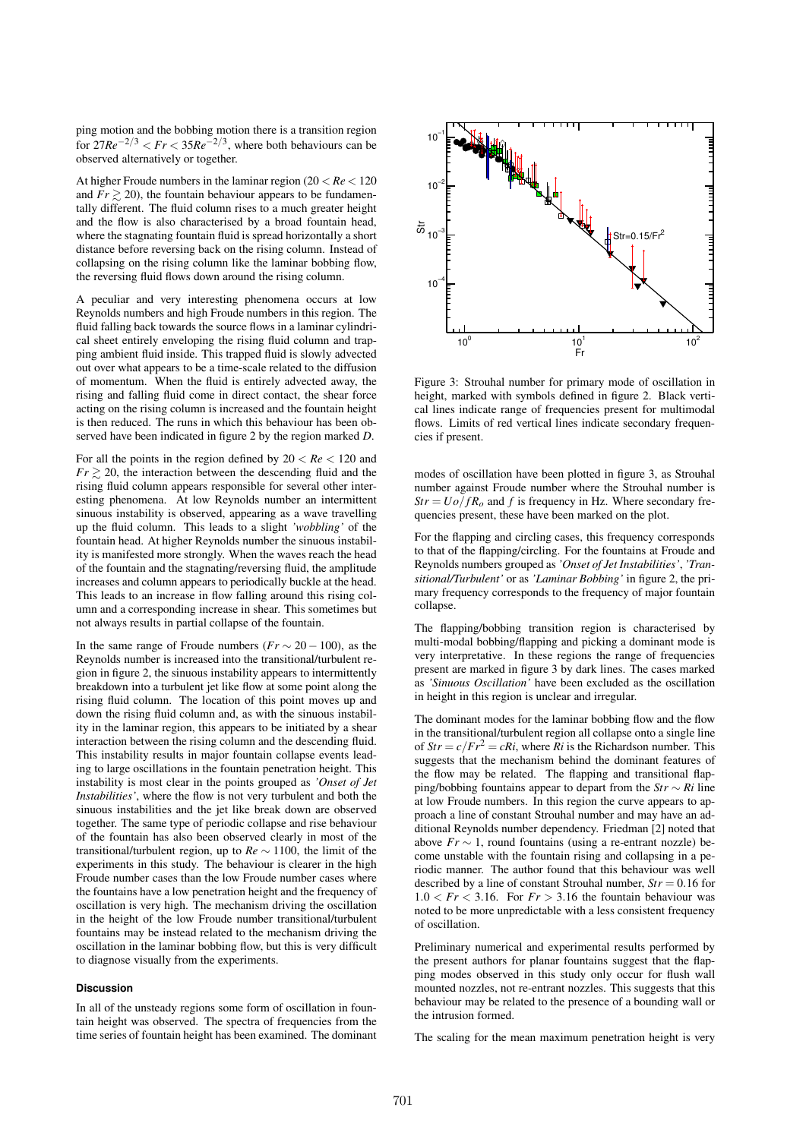ping motion and the bobbing motion there is a transition region for  $27Re^{-2/3}$  <  $Fr$  <  $35Re^{-2/3}$ , where both behaviours can be observed alternatively or together.

At higher Froude numbers in the laminar region (20 < *Re* < 120 and  $Fr \geq 20$ , the fountain behaviour appears to be fundamentally different. The fluid column rises to a much greater height and the flow is also characterised by a broad fountain head, where the stagnating fountain fluid is spread horizontally a short distance before reversing back on the rising column. Instead of collapsing on the rising column like the laminar bobbing flow, the reversing fluid flows down around the rising column.

A peculiar and very interesting phenomena occurs at low Reynolds numbers and high Froude numbers in this region. The fluid falling back towards the source flows in a laminar cylindrical sheet entirely enveloping the rising fluid column and trapping ambient fluid inside. This trapped fluid is slowly advected out over what appears to be a time-scale related to the diffusion of momentum. When the fluid is entirely advected away, the rising and falling fluid come in direct contact, the shear force acting on the rising column is increased and the fountain height is then reduced. The runs in which this behaviour has been observed have been indicated in figure 2 by the region marked *D*.

For all the points in the region defined by  $20 < Re < 120$  and  $Fr \geq 20$ , the interaction between the descending fluid and the rising fluid column appears responsible for several other interesting phenomena. At low Reynolds number an intermittent sinuous instability is observed, appearing as a wave travelling up the fluid column. This leads to a slight *'wobbling'* of the fountain head. At higher Reynolds number the sinuous instability is manifested more strongly. When the waves reach the head of the fountain and the stagnating/reversing fluid, the amplitude increases and column appears to periodically buckle at the head. This leads to an increase in flow falling around this rising column and a corresponding increase in shear. This sometimes but not always results in partial collapse of the fountain.

In the same range of Froude numbers ( $Fr \sim 20 - 100$ ), as the Reynolds number is increased into the transitional/turbulent region in figure 2, the sinuous instability appears to intermittently breakdown into a turbulent jet like flow at some point along the rising fluid column. The location of this point moves up and down the rising fluid column and, as with the sinuous instability in the laminar region, this appears to be initiated by a shear interaction between the rising column and the descending fluid. This instability results in major fountain collapse events leading to large oscillations in the fountain penetration height. This instability is most clear in the points grouped as *'Onset of Jet Instabilities'*, where the flow is not very turbulent and both the sinuous instabilities and the jet like break down are observed together. The same type of periodic collapse and rise behaviour of the fountain has also been observed clearly in most of the transitional/turbulent region, up to *Re* ∼ 1100, the limit of the experiments in this study. The behaviour is clearer in the high Froude number cases than the low Froude number cases where the fountains have a low penetration height and the frequency of oscillation is very high. The mechanism driving the oscillation in the height of the low Froude number transitional/turbulent fountains may be instead related to the mechanism driving the oscillation in the laminar bobbing flow, but this is very difficult to diagnose visually from the experiments.

# **Discussion**

In all of the unsteady regions some form of oscillation in fountain height was observed. The spectra of frequencies from the time series of fountain height has been examined. The dominant



Figure 3: Strouhal number for primary mode of oscillation in height, marked with symbols defined in figure 2. Black vertical lines indicate range of frequencies present for multimodal flows. Limits of red vertical lines indicate secondary frequencies if present.

modes of oscillation have been plotted in figure 3, as Strouhal number against Froude number where the Strouhal number is  $Str = U\overline{o}/fR$ <sup>o</sup> and *f* is frequency in Hz. Where secondary frequencies present, these have been marked on the plot.

For the flapping and circling cases, this frequency corresponds to that of the flapping/circling. For the fountains at Froude and Reynolds numbers grouped as*'Onset of Jet Instabilities'*, *'Transitional/Turbulent'* or as *'Laminar Bobbing'* in figure 2, the primary frequency corresponds to the frequency of major fountain collapse.

The flapping/bobbing transition region is characterised by multi-modal bobbing/flapping and picking a dominant mode is very interpretative. In these regions the range of frequencies present are marked in figure 3 by dark lines. The cases marked as *'Sinuous Oscillation'* have been excluded as the oscillation in height in this region is unclear and irregular.

The dominant modes for the laminar bobbing flow and the flow in the transitional/turbulent region all collapse onto a single line of  $Str = c/Fr^2 = cRi$ , where  $Ri$  is the Richardson number. This suggests that the mechanism behind the dominant features of the flow may be related. The flapping and transitional flapping/bobbing fountains appear to depart from the *Str* ∼ *Ri* line at low Froude numbers. In this region the curve appears to approach a line of constant Strouhal number and may have an additional Reynolds number dependency. Friedman [2] noted that above  $Fr \sim 1$ , round fountains (using a re-entrant nozzle) become unstable with the fountain rising and collapsing in a periodic manner. The author found that this behaviour was well described by a line of constant Strouhal number,  $Str = 0.16$  for  $1.0 < Fr < 3.16$ . For  $Fr > 3.16$  the fountain behaviour was noted to be more unpredictable with a less consistent frequency of oscillation.

Preliminary numerical and experimental results performed by the present authors for planar fountains suggest that the flapping modes observed in this study only occur for flush wall mounted nozzles, not re-entrant nozzles. This suggests that this behaviour may be related to the presence of a bounding wall or the intrusion formed.

The scaling for the mean maximum penetration height is very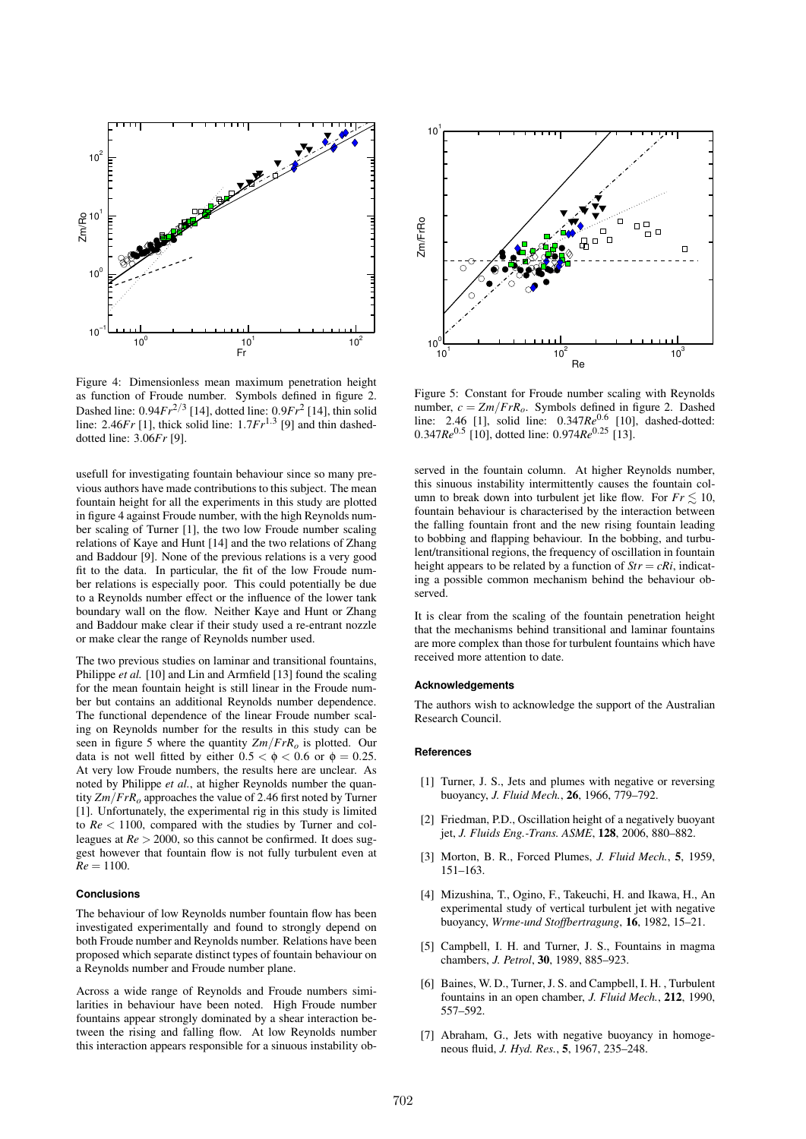

Figure 4: Dimensionless mean maximum penetration height as function of Froude number. Symbols defined in figure 2. Dashed line: 0.94*Fr* 2/3 [14], dotted line: 0.9*Fr* 2 [14], thin solid line: 2.46*Fr* [1], thick solid line: 1.7*Fr* 1.3 [9] and thin dasheddotted line: 3.06*Fr* [9].

usefull for investigating fountain behaviour since so many previous authors have made contributions to this subject. The mean fountain height for all the experiments in this study are plotted in figure 4 against Froude number, with the high Reynolds number scaling of Turner [1], the two low Froude number scaling relations of Kaye and Hunt [14] and the two relations of Zhang and Baddour [9]. None of the previous relations is a very good fit to the data. In particular, the fit of the low Froude number relations is especially poor. This could potentially be due to a Reynolds number effect or the influence of the lower tank boundary wall on the flow. Neither Kaye and Hunt or Zhang and Baddour make clear if their study used a re-entrant nozzle or make clear the range of Reynolds number used.

The two previous studies on laminar and transitional fountains, Philippe *et al.* [10] and Lin and Armfield [13] found the scaling for the mean fountain height is still linear in the Froude number but contains an additional Reynolds number dependence. The functional dependence of the linear Froude number scaling on Reynolds number for the results in this study can be seen in figure 5 where the quantity *Zm*/*FrRo* is plotted. Our data is not well fitted by either  $0.5 < \phi < 0.6$  or  $\phi = 0.25$ . At very low Froude numbers, the results here are unclear. As noted by Philippe *et al.*, at higher Reynolds number the quantity *Zm*/*FrRo* approaches the value of 2.46 first noted by Turner [1]. Unfortunately, the experimental rig in this study is limited to *Re* < 1100, compared with the studies by Turner and colleagues at  $Re > 2000$ , so this cannot be confirmed. It does suggest however that fountain flow is not fully turbulent even at  $Re = 1100.$ 

# **Conclusions**

The behaviour of low Reynolds number fountain flow has been investigated experimentally and found to strongly depend on both Froude number and Reynolds number. Relations have been proposed which separate distinct types of fountain behaviour on a Reynolds number and Froude number plane.

Across a wide range of Reynolds and Froude numbers similarities in behaviour have been noted. High Froude number fountains appear strongly dominated by a shear interaction between the rising and falling flow. At low Reynolds number this interaction appears responsible for a sinuous instability ob-



Figure 5: Constant for Froude number scaling with Reynolds number,  $c = Zm/FrR_o$ . Symbols defined in figure 2. Dashed line: 2.46 [1], solid line: 0.347Re<sup>0.6</sup> [10], dashed-dotted: 0.347*Re*0.<sup>5</sup> [10], dotted line: 0.974*Re*0.<sup>25</sup> [13].

served in the fountain column. At higher Reynolds number, this sinuous instability intermittently causes the fountain column to break down into turbulent jet like flow. For  $Fr \leq 10$ , fountain behaviour is characterised by the interaction between the falling fountain front and the new rising fountain leading to bobbing and flapping behaviour. In the bobbing, and turbulent/transitional regions, the frequency of oscillation in fountain height appears to be related by a function of  $Str = cRi$ , indicating a possible common mechanism behind the behaviour observed.

It is clear from the scaling of the fountain penetration height that the mechanisms behind transitional and laminar fountains are more complex than those for turbulent fountains which have received more attention to date.

#### **Acknowledgements**

The authors wish to acknowledge the support of the Australian Research Council.

### **References**

- [1] Turner, J. S., Jets and plumes with negative or reversing buoyancy, *J. Fluid Mech.*, **26**, 1966, 779–792.
- [2] Friedman, P.D., Oscillation height of a negatively buoyant jet, *J. Fluids Eng.-Trans. ASME*, **128**, 2006, 880–882.
- [3] Morton, B. R., Forced Plumes, *J. Fluid Mech.*, **5**, 1959, 151–163.
- [4] Mizushina, T., Ogino, F., Takeuchi, H. and Ikawa, H., An experimental study of vertical turbulent jet with negative buoyancy, *Wrme-und Stoffbertragung*, **16**, 1982, 15–21.
- [5] Campbell, I. H. and Turner, J. S., Fountains in magma chambers, *J. Petrol*, **30**, 1989, 885–923.
- [6] Baines, W. D., Turner, J. S. and Campbell, I. H. , Turbulent fountains in an open chamber, *J. Fluid Mech.*, **212**, 1990, 557–592.
- [7] Abraham, G., Jets with negative buoyancy in homogeneous fluid, *J. Hyd. Res.*, **5**, 1967, 235–248.